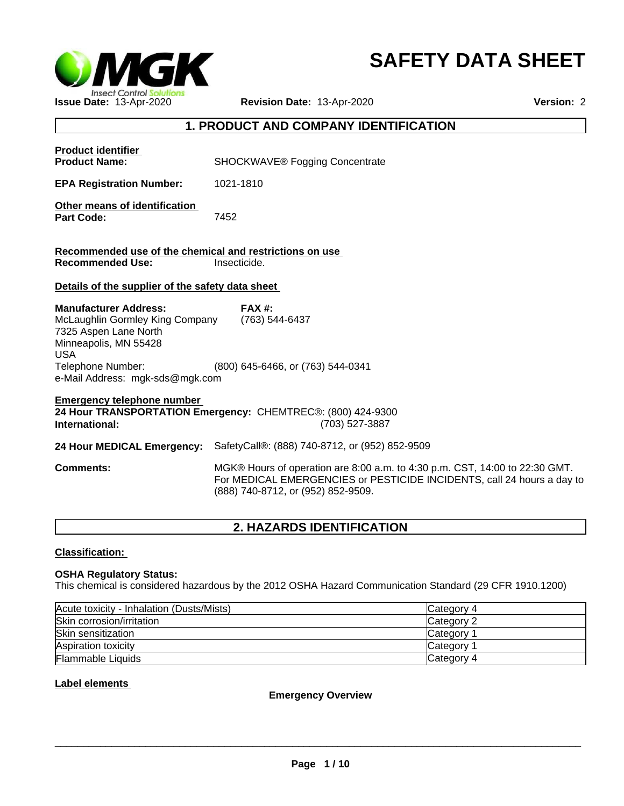

# **SAFETY DATA SHEET**

# **1. PRODUCT AND COMPANY IDENTIFICATION**

| <b>Product identifier</b><br><b>Product Name:</b>                                                                                                                                       | <b>SHOCKWAVE®</b> Fogging Concentrate                                                                                                                                                       |
|-----------------------------------------------------------------------------------------------------------------------------------------------------------------------------------------|---------------------------------------------------------------------------------------------------------------------------------------------------------------------------------------------|
| <b>EPA Registration Number:</b>                                                                                                                                                         | 1021-1810                                                                                                                                                                                   |
| Other means of identification<br><b>Part Code:</b>                                                                                                                                      | 7452                                                                                                                                                                                        |
| Recommended use of the chemical and restrictions on use                                                                                                                                 |                                                                                                                                                                                             |
| <b>Recommended Use:</b>                                                                                                                                                                 | Insecticide.                                                                                                                                                                                |
| Details of the supplier of the safety data sheet                                                                                                                                        |                                                                                                                                                                                             |
| <b>Manufacturer Address:</b><br>McLaughlin Gormley King Company<br>7325 Aspen Lane North<br>Minneapolis, MN 55428<br><b>USA</b><br>Telephone Number:<br>e-Mail Address: mgk-sds@mgk.com | <b>FAX #:</b><br>(763) 544-6437<br>(800) 645-6466, or (763) 544-0341                                                                                                                        |
| <b>Emergency telephone number</b><br>International:                                                                                                                                     | 24 Hour TRANSPORTATION Emergency: CHEMTREC®: (800) 424-9300<br>(703) 527-3887                                                                                                               |
| 24 Hour MEDICAL Emergency:                                                                                                                                                              | SafetyCall®: (888) 740-8712, or (952) 852-9509                                                                                                                                              |
| <b>Comments:</b>                                                                                                                                                                        | MGK® Hours of operation are 8:00 a.m. to 4:30 p.m. CST, 14:00 to 22:30 GMT.<br>For MEDICAL EMERGENCIES or PESTICIDE INCIDENTS, call 24 hours a day to<br>(888) 740-8712, or (952) 852-9509. |
|                                                                                                                                                                                         |                                                                                                                                                                                             |

# **2. HAZARDS IDENTIFICATION**

### **Classification:**

### **OSHA Regulatory Status:**

This chemical is considered hazardous by the 2012 OSHA Hazard Communication Standard (29 CFR 1910.1200)

| Acute toxicity - Inhalation (Dusts/Mists) | Category 4      |
|-------------------------------------------|-----------------|
| Skin corrosion/irritation                 | Category 2      |
| Skin sensitization                        | Category        |
| Aspiration toxicity                       | <b>Category</b> |
| Flammable Liquids                         | Category 4      |

### **Label elements**

**Emergency Overview**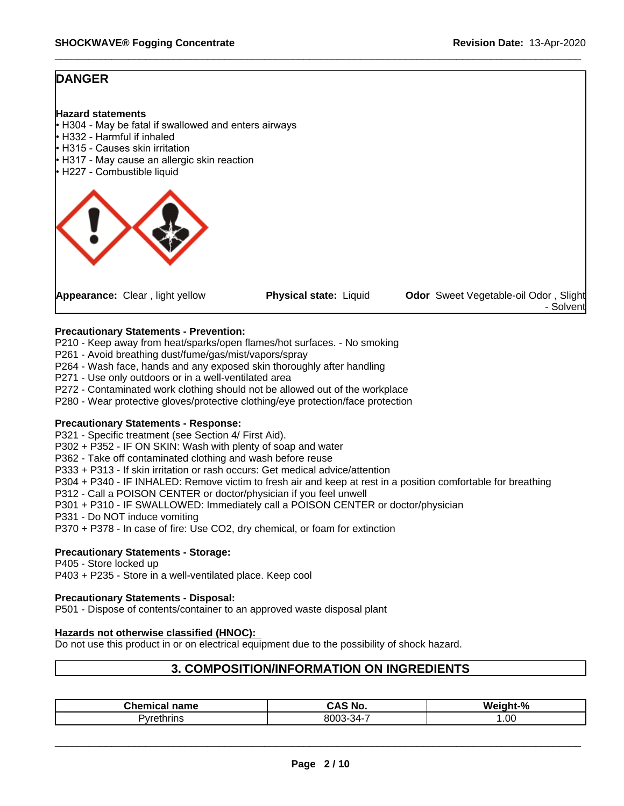# **DANGER**

#### **Hazard statements**

- H304 May be fatal if swallowed and enters airways
- **H332 Harmful if inhaled**
- H315 Causes skin irritation
- H317 May cause an allergic skin reaction
- H227 Combustible liquid



#### **Precautionary Statements - Prevention:**

P210 - Keep away from heat/sparks/open flames/hot surfaces. - No smoking

- P261 Avoid breathing dust/fume/gas/mist/vapors/spray
- P264 Wash face, hands and any exposed skin thoroughly after handling
- P271 Use only outdoors or in a well-ventilated area
- P272 Contaminated work clothing should not be allowed out of the workplace
- P280 Wear protective gloves/protective clothing/eye protection/face protection

#### **Precautionary Statements - Response:**

P321 - Specific treatment (see Section 4/ First Aid).

P302 + P352 - IF ON SKIN: Wash with plenty of soap and water

P362 - Take off contaminated clothing and wash before reuse

P333 + P313 - If skin irritation or rash occurs: Get medical advice/attention

- P304 + P340 IF INHALED: Remove victim to fresh air and keep at rest in a position comfortable for breathing
- P312 Call a POISON CENTER or doctor/physician if you feel unwell
- P301 + P310 IF SWALLOWED: Immediately call a POISON CENTER or doctor/physician

P331 - Do NOT induce vomiting

P370 + P378 - In case of fire: Use CO2, dry chemical, or foam for extinction

#### **Precautionary Statements - Storage:**

P405 - Store locked up

P403 + P235 - Store in a well-ventilated place. Keep cool

#### **Precautionary Statements - Disposal:**

P501 - Dispose of contents/container to an approved waste disposal plant

#### **Hazards not otherwise classified (HNOC):**

Do not use this product in or on electrical equipment due to the possibility of shock hazard.

### **3. COMPOSITION/INFORMATION ON INGREDIENTS**

| Chemical<br>name       | ~AS No.                  | <b>Weight</b><br>.9/2 |
|------------------------|--------------------------|-----------------------|
| <sup>3</sup> yrethrins | ົົດລະ 34-<br>י<br>,,,,,, | .00.                  |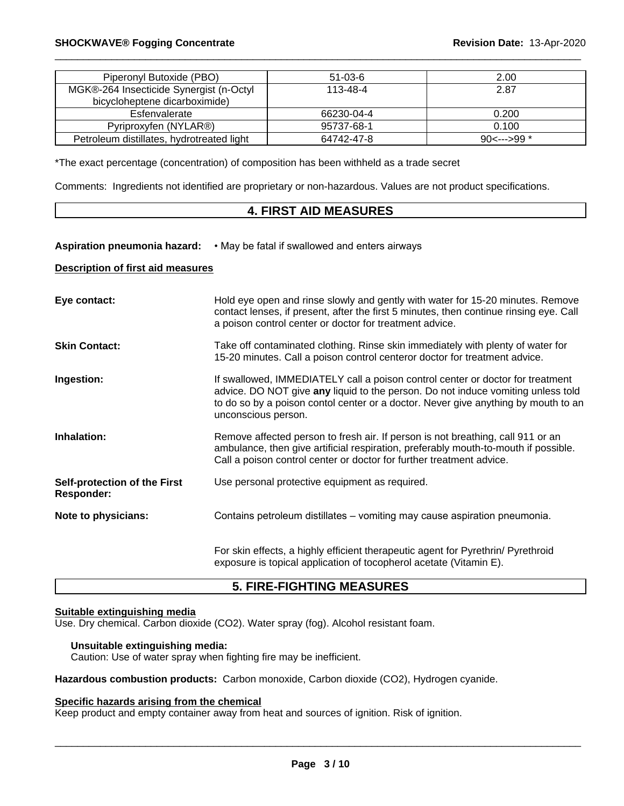| Piperonyl Butoxide (PBO)                  | $51-03-6$  | 2.00          |
|-------------------------------------------|------------|---------------|
| MGK®-264 Insecticide Synergist (n-Octyl   | 113-48-4   | 2.87          |
| bicycloheptene dicarboximide)             |            |               |
| Esfenvalerate                             | 66230-04-4 | 0.200         |
| Pyriproxyfen (NYLAR®)                     | 95737-68-1 | 0.100         |
| Petroleum distillates, hydrotreated light | 64742-47-8 | $90<---999$ * |

\*The exact percentage (concentration) of composition has been withheld as a trade secret

Comments: Ingredients not identified are proprietary or non-hazardous. Values are not product specifications.

# **4. FIRST AID MEASURES**

#### **Aspiration pneumonia hazard:** • May be fatal if swallowed and enters airways

### **Description of first aid measures**

| Eye contact:                                      | Hold eye open and rinse slowly and gently with water for 15-20 minutes. Remove<br>contact lenses, if present, after the first 5 minutes, then continue rinsing eye. Call<br>a poison control center or doctor for treatment advice.                                             |
|---------------------------------------------------|---------------------------------------------------------------------------------------------------------------------------------------------------------------------------------------------------------------------------------------------------------------------------------|
| <b>Skin Contact:</b>                              | Take off contaminated clothing. Rinse skin immediately with plenty of water for<br>15-20 minutes. Call a poison control centeror doctor for treatment advice.                                                                                                                   |
| Ingestion:                                        | If swallowed, IMMEDIATELY call a poison control center or doctor for treatment<br>advice. DO NOT give any liquid to the person. Do not induce vomiting unless told<br>to do so by a poison contol center or a doctor. Never give anything by mouth to an<br>unconscious person. |
| Inhalation:                                       | Remove affected person to fresh air. If person is not breathing, call 911 or an<br>ambulance, then give artificial respiration, preferably mouth-to-mouth if possible.<br>Call a poison control center or doctor for further treatment advice.                                  |
| Self-protection of the First<br><b>Responder:</b> | Use personal protective equipment as required.                                                                                                                                                                                                                                  |
| Note to physicians:                               | Contains petroleum distillates – vomiting may cause aspiration pneumonia.                                                                                                                                                                                                       |
|                                                   | For skin effects, a highly efficient therapeutic agent for Pyrethrin/ Pyrethroid<br>exposure is topical application of tocopherol acetate (Vitamin E).                                                                                                                          |

# **5. FIRE-FIGHTING MEASURES**

#### **Suitable extinguishing media**

Use. Dry chemical. Carbon dioxide (CO2). Water spray (fog). Alcohol resistant foam.

# **Unsuitable extinguishing media:**

Caution: Use of water spray when fighting fire may be inefficient.

**Hazardous combustion products:** Carbon monoxide, Carbon dioxide (CO2), Hydrogen cyanide.

# **Specific hazards arising from the chemical**

Keep product and empty container away from heat and sources of ignition. Risk of ignition.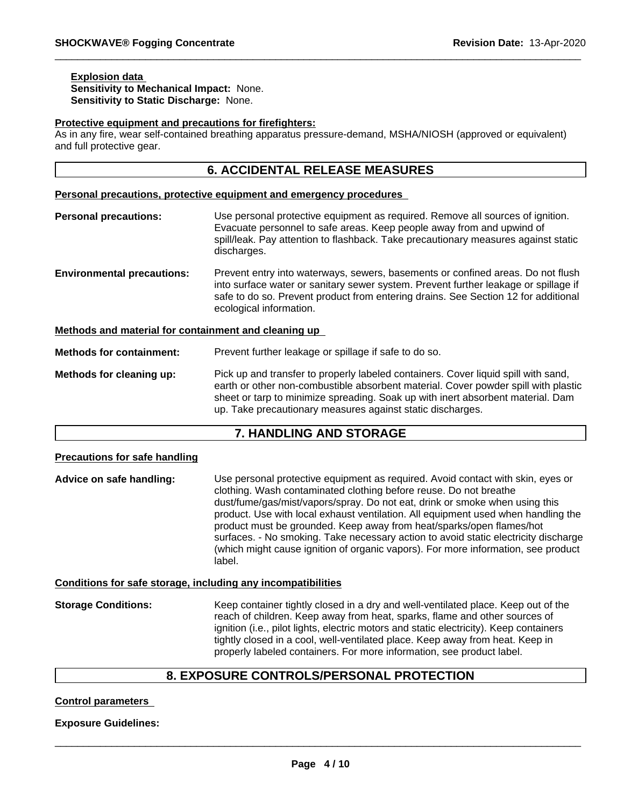#### **Explosion data Sensitivity to Mechanical Impact:** None. **Sensitivity to Static Discharge:** None.

#### **Protective equipment and precautions for firefighters:**

As in any fire, wear self-contained breathing apparatus pressure-demand, MSHA/NIOSH (approved or equivalent) and full protective gear.

# **6. ACCIDENTAL RELEASE MEASURES**

#### **Personal precautions, protective equipment and emergency procedures**

- **Personal precautions:** Use personal protective equipment as required. Remove all sources of ignition. Evacuate personnel to safe areas. Keep people away from and upwind of spill/leak. Pay attention to flashback. Take precautionary measures against static discharges. **Environmental precautions:** Prevent entry into waterways, sewers, basements or confined areas. Do not flush into surface water or sanitary sewer system. Prevent further leakage or spillage if safe to do so. Prevent product from entering drains. See Section 12 for additional ecological information. **Methods and material for containment and cleaning up Methods for containment:** Prevent further leakage or spillage if safe to do so.
- **Methods for cleaning up:** Pick up and transfer to properly labeled containers. Cover liquid spill with sand, earth or other non-combustible absorbent material. Cover powder spill with plastic sheet or tarp to minimize spreading. Soak up with inert absorbent material. Dam up. Take precautionary measures against static discharges.

# **7. HANDLING AND STORAGE**

#### **Precautions for safe handling**

**Advice on safe handling:** Use personal protective equipment as required.Avoid contact with skin, eyes or clothing. Wash contaminated clothing before reuse. Do not breathe dust/fume/gas/mist/vapors/spray. Do not eat, drink or smoke when using this product. Use with local exhaust ventilation. All equipment used when handling the product must be grounded. Keep away from heat/sparks/open flames/hot surfaces. - No smoking. Take necessary action to avoid static electricity discharge (which might cause ignition of organic vapors). For more information, see product label.

#### **Conditions for safe storage, including any incompatibilities**

**Storage Conditions:** Keep container tightly closed in a dry and well-ventilated place. Keep out of the reach of children. Keep away from heat, sparks, flame and other sources of ignition (i.e., pilot lights, electric motors and static electricity). Keep containers tightly closed in a cool, well-ventilated place. Keep away from heat. Keep in properly labeled containers. For more information, see product label.

# **8. EXPOSURE CONTROLS/PERSONAL PROTECTION**

#### **Control parameters**

#### **Exposure Guidelines:**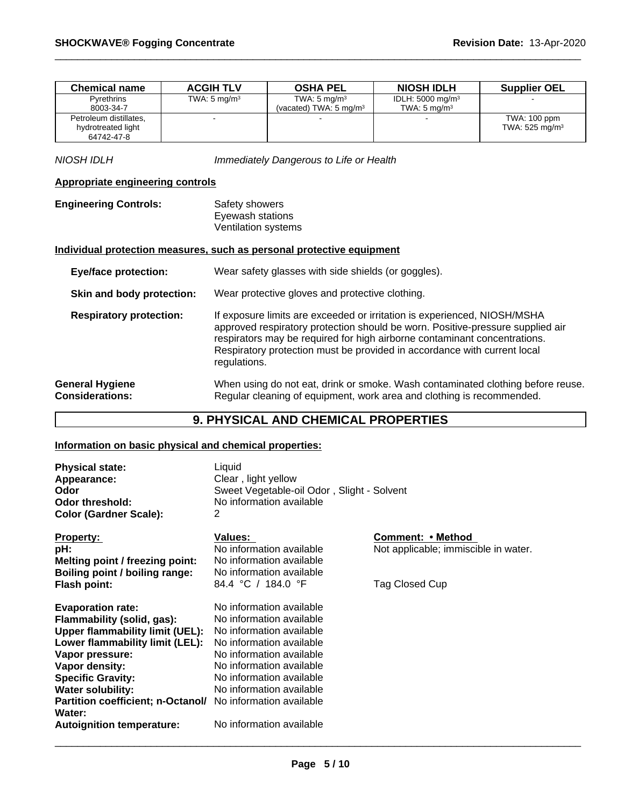| <b>Chemical name</b>   | <b>ACGIH TLV</b>        | <b>OSHA PEL</b>                   | <b>NIOSH IDLH</b>           | <b>Supplier OEL</b>       |
|------------------------|-------------------------|-----------------------------------|-----------------------------|---------------------------|
| Pyrethrins             | TWA: $5 \text{ mg/m}^3$ | TWA: $5 \text{ mg/m}^3$           | IDLH: $5000 \text{ mg/m}^3$ |                           |
| 8003-34-7              |                         | (vacated) TWA: $5 \text{ ma/m}^3$ | TWA: $5 \text{ ma/m}^3$     |                           |
| Petroleum distillates. |                         |                                   |                             | TWA: 100 ppm              |
| hydrotreated light     |                         |                                   |                             | TWA: $525 \text{ mg/m}^3$ |
| 64742-47-8             |                         |                                   |                             |                           |

*NIOSH IDLH Immediately Dangerous to Life or Health*

### **Appropriate engineering controls**

**Engineering Controls:** Safety showers Eyewash stations Ventilation systems

### **Individual protection measures, such as personal protective equipment**

| <b>Eye/face protection:</b>                      | Wear safety glasses with side shields (or goggles).                                                                                                                                                                                                                                                                                 |
|--------------------------------------------------|-------------------------------------------------------------------------------------------------------------------------------------------------------------------------------------------------------------------------------------------------------------------------------------------------------------------------------------|
| Skin and body protection:                        | Wear protective gloves and protective clothing.                                                                                                                                                                                                                                                                                     |
| <b>Respiratory protection:</b>                   | If exposure limits are exceeded or irritation is experienced, NIOSH/MSHA<br>approved respiratory protection should be worn. Positive-pressure supplied air<br>respirators may be required for high airborne contaminant concentrations.<br>Respiratory protection must be provided in accordance with current local<br>regulations. |
| <b>General Hygiene</b><br><b>Considerations:</b> | When using do not eat, drink or smoke. Wash contaminated clothing before reuse.<br>Regular cleaning of equipment, work area and clothing is recommended.                                                                                                                                                                            |

# **9. PHYSICAL AND CHEMICAL PROPERTIES**

# **Information on basic physical and chemical properties:**

| <b>Physical state:</b><br>Appearance:<br>Odor<br><b>Odor threshold:</b><br><b>Color (Gardner Scale):</b>                                                                                                                                                                                                                                     | Liquid<br>Clear, light yellow<br>Sweet Vegetable-oil Odor, Slight - Solvent<br>No information available<br>2                                                                                                                                             |                                                                             |
|----------------------------------------------------------------------------------------------------------------------------------------------------------------------------------------------------------------------------------------------------------------------------------------------------------------------------------------------|----------------------------------------------------------------------------------------------------------------------------------------------------------------------------------------------------------------------------------------------------------|-----------------------------------------------------------------------------|
| <b>Property:</b><br>pH:<br>Melting point / freezing point:<br>Boiling point / boiling range:<br>Flash point:                                                                                                                                                                                                                                 | Values:<br>No information available<br>No information available<br>No information available<br>84.4 °C / 184.0 °F                                                                                                                                        | Comment: • Method<br>Not applicable; immiscible in water.<br>Tag Closed Cup |
| <b>Evaporation rate:</b><br>Flammability (solid, gas):<br><b>Upper flammability limit (UEL):</b><br>Lower flammability limit (LEL):<br>Vapor pressure:<br>Vapor density:<br><b>Specific Gravity:</b><br><b>Water solubility:</b><br>Partition coefficient; n-Octanol/ No information available<br>Water:<br><b>Autoignition temperature:</b> | No information available<br>No information available<br>No information available<br>No information available<br>No information available<br>No information available<br>No information available<br>No information available<br>No information available |                                                                             |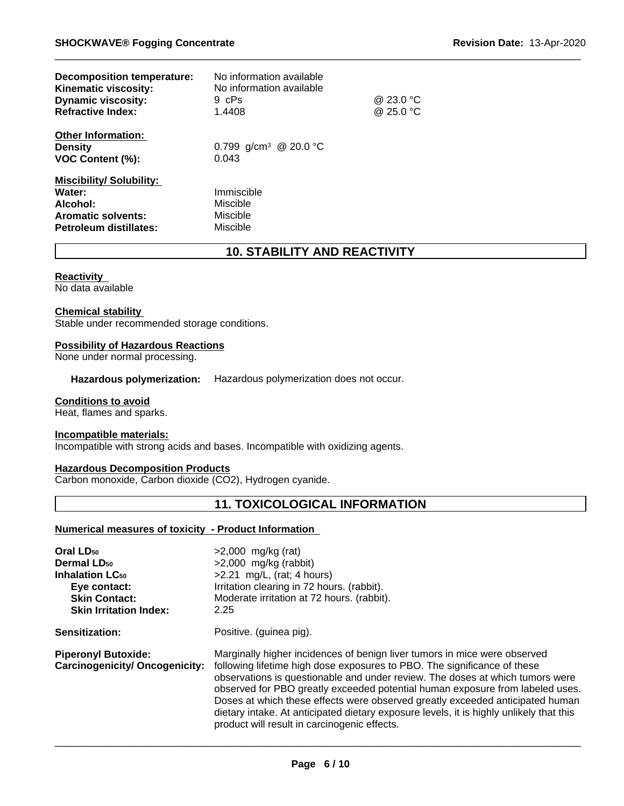| <b>Decomposition temperature:</b><br><b>Kinematic viscosity:</b><br><b>Dynamic viscosity:</b><br><b>Refractive Index:</b> | No information available<br>No information available<br>9 cPs<br>1.4408 | @ 23.0 °C<br>@ 25.0 °C |
|---------------------------------------------------------------------------------------------------------------------------|-------------------------------------------------------------------------|------------------------|
| <b>Other Information:</b><br><b>Density</b><br>VOC Content (%):                                                           | 0.799 g/cm <sup>3</sup> @ 20.0 °C<br>0.043                              |                        |
| <b>Miscibility/Solubility:</b><br>Water:<br>Alcohol:<br><b>Aromatic solvents:</b><br>Petroleum distillates:               | Immiscible<br>Miscible<br>Miscible<br>Miscible                          |                        |

# **10. STABILITY AND REACTIVITY**

#### **Reactivity**

No data available

#### **Chemical stability**

Stable under recommended storage conditions.

#### **Possibility of Hazardous Reactions**

None under normal processing.

#### **Hazardous polymerization:** Hazardous polymerization does not occur.

#### **Conditions to avoid**

Heat, flames and sparks.

#### **Incompatible materials:**

Incompatible with strong acids and bases. Incompatible with oxidizing agents.

#### **Hazardous Decomposition Products**

Carbon monoxide, Carbon dioxide (CO2), Hydrogen cyanide.

# **11. TOXICOLOGICAL INFORMATION**

#### **Numerical measures of toxicity - Product Information**

| Oral LD <sub>50</sub>                                               | $>2,000$ mg/kg (rat)                                                                                                                                                                                                                                                                                                                                                                                                                                                                                                                                |
|---------------------------------------------------------------------|-----------------------------------------------------------------------------------------------------------------------------------------------------------------------------------------------------------------------------------------------------------------------------------------------------------------------------------------------------------------------------------------------------------------------------------------------------------------------------------------------------------------------------------------------------|
| Dermal LD <sub>50</sub>                                             | $>2,000$ mg/kg (rabbit)                                                                                                                                                                                                                                                                                                                                                                                                                                                                                                                             |
| <b>Inhalation LC<sub>50</sub></b>                                   | $>2.21$ mg/L, (rat; 4 hours)                                                                                                                                                                                                                                                                                                                                                                                                                                                                                                                        |
| Eye contact:                                                        | Irritation clearing in 72 hours. (rabbit).                                                                                                                                                                                                                                                                                                                                                                                                                                                                                                          |
| <b>Skin Contact:</b>                                                | Moderate irritation at 72 hours. (rabbit).                                                                                                                                                                                                                                                                                                                                                                                                                                                                                                          |
| <b>Skin Irritation Index:</b>                                       | 2.25                                                                                                                                                                                                                                                                                                                                                                                                                                                                                                                                                |
| Sensitization:                                                      | Positive. (guinea pig).                                                                                                                                                                                                                                                                                                                                                                                                                                                                                                                             |
| <b>Piperonyl Butoxide:</b><br><b>Carcinogenicity/ Oncogenicity:</b> | Marginally higher incidences of benign liver tumors in mice were observed<br>following lifetime high dose exposures to PBO. The significance of these<br>observations is questionable and under review. The doses at which tumors were<br>observed for PBO greatly exceeded potential human exposure from labeled uses.<br>Doses at which these effects were observed greatly exceeded anticipated human<br>dietary intake. At anticipated dietary exposure levels, it is highly unlikely that this<br>product will result in carcinogenic effects. |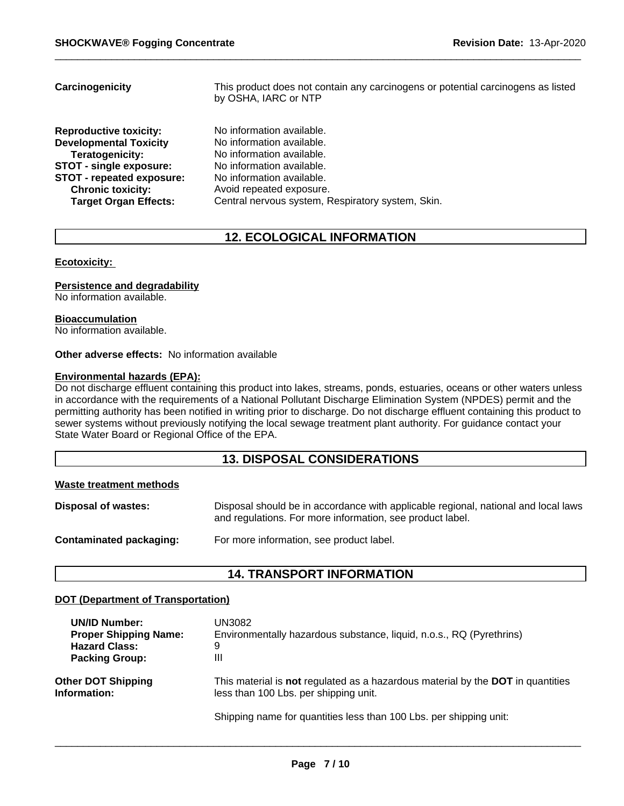| No information available.<br><b>Reproductive toxicity:</b><br><b>Developmental Toxicity</b><br>No information available.<br>No information available.<br>Teratogenicity:<br><b>STOT - single exposure:</b><br>No information available.<br>STOT - repeated exposure:<br>No information available.<br><b>Chronic toxicity:</b><br>Avoid repeated exposure. | Carcinogenicity              | This product does not contain any carcinogens or potential carcinogens as listed<br>by OSHA, IARC or NTP |
|-----------------------------------------------------------------------------------------------------------------------------------------------------------------------------------------------------------------------------------------------------------------------------------------------------------------------------------------------------------|------------------------------|----------------------------------------------------------------------------------------------------------|
|                                                                                                                                                                                                                                                                                                                                                           | <b>Target Organ Effects:</b> | Central nervous system, Respiratory system, Skin.                                                        |

# **12. ECOLOGICAL INFORMATION**

#### **Ecotoxicity:**

#### **Persistence and degradability**

No information available.

#### **Bioaccumulation**

No information available.

#### **Other adverse effects:** No information available

### **Environmental hazards (EPA):**

Do not discharge effluent containing this product into lakes, streams, ponds, estuaries, oceans or other waters unless in accordance with the requirements of a National Pollutant Discharge Elimination System (NPDES) permit and the permitting authority has been notified in writing prior to discharge. Do not discharge effluent containing this product to sewer systems without previously notifying the local sewage treatment plant authority. For guidance contact your State Water Board or Regional Office of the EPA.

# **13. DISPOSAL CONSIDERATIONS**

#### **Waste treatment methods**

| <b>Disposal of wastes:</b> | Disposal should be in accordance with applicable regional, national and local laws<br>and regulations. For more information, see product label. |
|----------------------------|-------------------------------------------------------------------------------------------------------------------------------------------------|
| Contaminated packaging:    | For more information, see product label.                                                                                                        |

# **14. TRANSPORT INFORMATION**

#### **DOT (Department of Transportation)**

| <b>UN/ID Number:</b>         | UN3082                                                                                        |
|------------------------------|-----------------------------------------------------------------------------------------------|
| <b>Proper Shipping Name:</b> | Environmentally hazardous substance, liquid, n.o.s., RQ (Pyrethrins)                          |
| <b>Hazard Class:</b>         | 9                                                                                             |
| <b>Packing Group:</b>        | Ш                                                                                             |
| <b>Other DOT Shipping</b>    | This material is <b>not</b> regulated as a hazardous material by the <b>DOT</b> in quantities |
| Information:                 | less than 100 Lbs. per shipping unit.                                                         |
|                              | Shipping name for quantities less than 100 Lbs. per shipping unit:                            |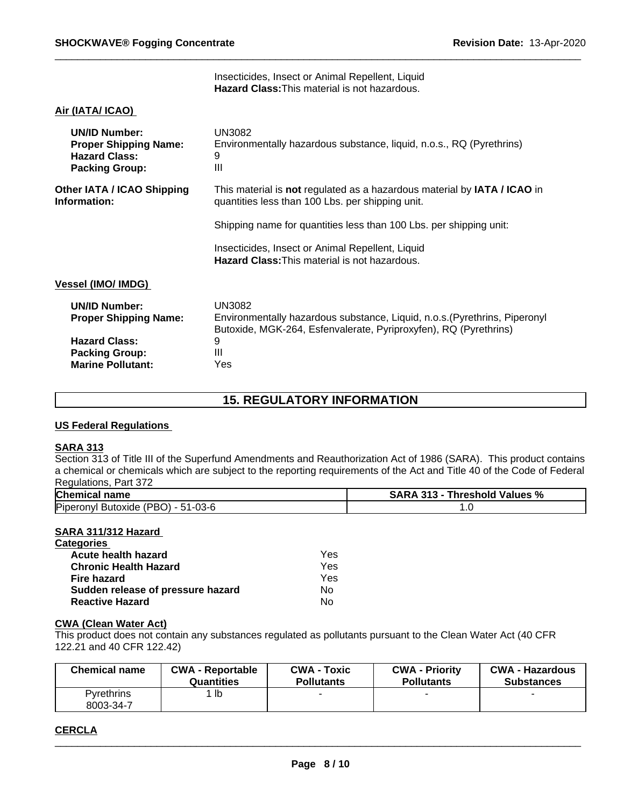Insecticides, Insect or Animal Repellent, Liquid **Hazard Class:**This material is not hazardous.

#### **Air (IATA/ ICAO)**

| <b>UN/ID Number:</b><br><b>Proper Shipping Name:</b><br><b>Hazard Class:</b><br><b>Packing Group:</b> | UN3082<br>Environmentally hazardous substance, liquid, n.o.s., RQ (Pyrethrins)<br>9<br>$\mathbf{III}$                                                    |
|-------------------------------------------------------------------------------------------------------|----------------------------------------------------------------------------------------------------------------------------------------------------------|
| Other IATA / ICAO Shipping<br>Information:                                                            | This material is not regulated as a hazardous material by IATA / ICAO in<br>quantities less than 100 Lbs. per shipping unit.                             |
|                                                                                                       | Shipping name for quantities less than 100 Lbs. per shipping unit:                                                                                       |
|                                                                                                       | Insecticides, Insect or Animal Repellent, Liquid<br><b>Hazard Class: This material is not hazardous.</b>                                                 |
| <b>Vessel (IMO/ IMDG)</b>                                                                             |                                                                                                                                                          |
| <b>UN/ID Number:</b><br><b>Proper Shipping Name:</b>                                                  | UN3082<br>Environmentally hazardous substance, Liquid, n.o.s. (Pyrethrins, Piperonyl<br>Butoxide, MGK-264, Esfenvalerate, Pyriproxyfen), RQ (Pyrethrins) |
| <b>Hazard Class:</b>                                                                                  | 9                                                                                                                                                        |
| <b>Packing Group:</b>                                                                                 | Ш                                                                                                                                                        |
| <b>Marine Pollutant:</b>                                                                              | Yes                                                                                                                                                      |

# **15. REGULATORY INFORMATION**

#### **US Federal Regulations**

#### **SARA 313**

Section 313 of Title III of the Superfund Amendments and Reauthorization Act of 1986 (SARA). This product contains a chemical or chemicals which are subject to the reporting requirements of the Act and Title 40 of the Code of Federal Regulations, Part 372

| <b>Chemical name</b>                                        | <b>SARA</b><br>313<br>∣ Values %<br>Threshold<br>70 |  |
|-------------------------------------------------------------|-----------------------------------------------------|--|
| Butoxide (PBO) -<br>--<br>$51 - 03 - 6$<br>Piperonyl<br>. . | $\cdot\cdot$                                        |  |

#### **SARA 311/312 Hazard**

| <b>Categories</b>                 |     |  |
|-----------------------------------|-----|--|
| Acute health hazard               | Yes |  |
| <b>Chronic Health Hazard</b>      | Yes |  |
| Fire hazard                       | Yes |  |
| Sudden release of pressure hazard | Nο  |  |
| <b>Reactive Hazard</b>            | No  |  |

### **CWA (Clean Water Act)**

This product does not contain any substances regulated as pollutants pursuant to the Clean Water Act (40 CFR 122.21 and 40 CFR 122.42)

| <b>Chemical name</b>    | <b>CWA - Reportable</b> | <b>CWA - Toxic</b> | <b>CWA - Priority</b> | <b>CWA - Hazardous</b> |
|-------------------------|-------------------------|--------------------|-----------------------|------------------------|
|                         | Quantities              | <b>Pollutants</b>  | <b>Pollutants</b>     | <b>Substances</b>      |
| Pvrethrins<br>8003-34-7 | ` lb                    |                    |                       |                        |

### **CERCLA**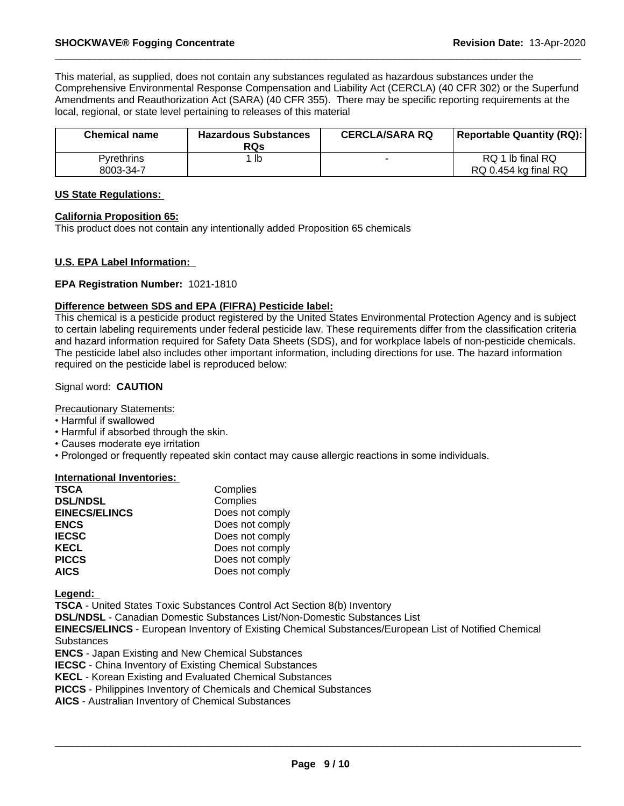This material, as supplied, does not contain any substances regulated as hazardous substances under the Comprehensive Environmental Response Compensation and Liability Act (CERCLA) (40 CFR 302) or the Superfund Amendments and Reauthorization Act (SARA) (40 CFR 355). There may be specific reporting requirements at the local, regional, or state level pertaining to releases of this material

| <b>Chemical name</b>           | <b>Hazardous Substances</b><br><b>RQs</b> | <b>CERCLA/SARA RQ</b> | <b>Reportable Quantity (RQ):</b>         |
|--------------------------------|-------------------------------------------|-----------------------|------------------------------------------|
| <b>Pyrethrins</b><br>8003-34-7 | lb                                        |                       | RQ 1 lb final RQ<br>RQ 0.454 kg final RQ |

#### **US State Regulations:**

#### **California Proposition 65:**

This product does not contain any intentionally added Proposition 65 chemicals

#### **U.S. EPA Label Information:**

#### **EPA Registration Number:** 1021-1810

#### **Difference between SDS and EPA (FIFRA) Pesticide label:**

This chemical is a pesticide product registered by the United States Environmental Protection Agency and is subject to certain labeling requirements under federal pesticide law. These requirements differ from the classification criteria and hazard information required for Safety Data Sheets (SDS), and for workplace labels of non-pesticide chemicals. The pesticide label also includes other important information, including directions for use. The hazard information required on the pesticide label is reproduced below:

### Signal word: **CAUTION**

#### Precautionary Statements:

- Harmful if swallowed
- Harmful if absorbed through the skin.
- Causes moderate eye irritation
- Prolonged or frequently repeated skin contact may cause allergic reactions in some individuals.

#### **International Inventories:**

| <b>TSCA</b>          | Complies        |
|----------------------|-----------------|
| <b>DSL/NDSL</b>      | Complies        |
| <b>EINECS/ELINCS</b> | Does not comply |
| <b>ENCS</b>          | Does not comply |
| <b>IECSC</b>         | Does not comply |
| <b>KECL</b>          | Does not comply |
| <b>PICCS</b>         | Does not comply |
| <b>AICS</b>          | Does not comply |

**Legend:** 

**TSCA** - United States Toxic Substances Control Act Section 8(b) Inventory

**DSL/NDSL** - Canadian Domestic Substances List/Non-Domestic Substances List

**EINECS/ELINCS** - European Inventory of Existing Chemical Substances/European List of Notified Chemical **Substances** 

**ENCS** - Japan Existing and New Chemical Substances

**IECSC** - China Inventory of Existing Chemical Substances

**KECL** - Korean Existing and Evaluated Chemical Substances

**PICCS** - Philippines Inventory of Chemicals and Chemical Substances

**AICS** - Australian Inventory of Chemical Substances